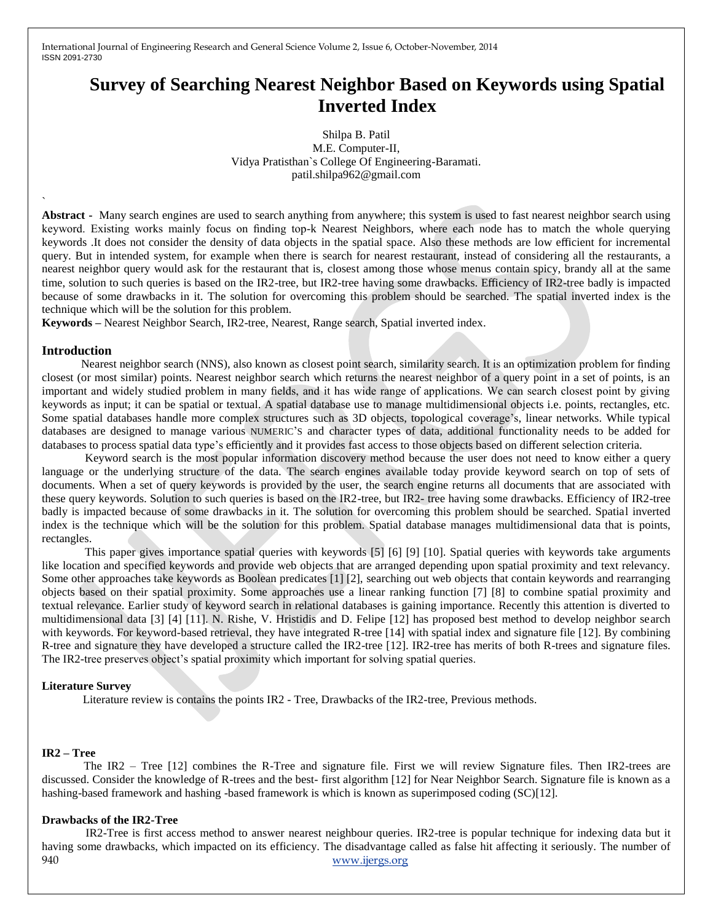International Journal of Engineering Research and General Science Volume 2, Issue 6, October-November, 2014 ISSN 2091-2730

# **Survey of Searching Nearest Neighbor Based on Keywords using Spatial Inverted Index**

Shilpa B. Patil M.E. Computer-II, Vidya Pratisthan`s College Of Engineering-Baramati. patil.shilpa962@gmail.com

**Abstract -** Many search engines are used to search anything from anywhere; this system is used to fast nearest neighbor search using keyword. Existing works mainly focus on finding top-k Nearest Neighbors, where each node has to match the whole querying keywords .It does not consider the density of data objects in the spatial space. Also these methods are low efficient for incremental query. But in intended system, for example when there is search for nearest restaurant, instead of considering all the restaurants, a nearest neighbor query would ask for the restaurant that is, closest among those whose menus contain spicy, brandy all at the same time, solution to such queries is based on the IR2-tree, but IR2-tree having some drawbacks. Efficiency of IR2-tree badly is impacted because of some drawbacks in it. The solution for overcoming this problem should be searched. The spatial inverted index is the technique which will be the solution for this problem.

**Keywords –** Nearest Neighbor Search, IR2-tree, Nearest, Range search, Spatial inverted index.

#### **Introduction**

`

Nearest neighbor search (NNS), also known as closest point search, similarity search. It is an optimization problem for finding closest (or most similar) points. Nearest neighbor search which returns the nearest neighbor of a query point in a set of points, is an important and widely studied problem in many fields, and it has wide range of applications. We can search closest point by giving keywords as input; it can be spatial or textual. A spatial database use to manage multidimensional objects i.e. points, rectangles, etc. Some spatial databases handle more complex structures such as 3D objects, topological coverage's, linear networks. While typical databases are designed to manage various NUMERIC'S and character types of data, additional functionality needs to be added for databases to process spatial data type's efficiently and it provides fast access to those objects based on different selection criteria.

 Keyword search is the most popular information discovery method because the user does not need to know either a query language or the underlying structure of the data. The search engines available today provide keyword search on top of sets of documents. When a set of query keywords is provided by the user, the search engine returns all documents that are associated with these query keywords. Solution to such queries is based on the IR2-tree, but IR2- tree having some drawbacks. Efficiency of IR2-tree badly is impacted because of some drawbacks in it. The solution for overcoming this problem should be searched. Spatial inverted index is the technique which will be the solution for this problem. Spatial database manages multidimensional data that is points, rectangles.

 This paper gives importance spatial queries with keywords [5] [6] [9] [10]. Spatial queries with keywords take arguments like location and specified keywords and provide web objects that are arranged depending upon spatial proximity and text relevancy. Some other approaches take keywords as Boolean predicates [1] [2], searching out web objects that contain keywords and rearranging objects based on their spatial proximity. Some approaches use a linear ranking function [7] [8] to combine spatial proximity and textual relevance. Earlier study of keyword search in relational databases is gaining importance. Recently this attention is diverted to multidimensional data [3] [4] [11]. N. Rishe, V. Hristidis and D. Felipe [12] has proposed best method to develop neighbor search with keywords. For keyword-based retrieval, they have integrated R-tree [14] with spatial index and signature file [12]. By combining R-tree and signature they have developed a structure called the IR2-tree [12]. IR2-tree has merits of both R-trees and signature files. The IR2-tree preserves object's spatial proximity which important for solving spatial queries.

#### **Literature Survey**

Literature review is contains the points IR2 - Tree, Drawbacks of the IR2-tree, Previous methods.

#### **IR2 – Tree**

The IR2 – Tree [12] combines the R-Tree and signature file. First we will review Signature files. Then IR2-trees are discussed. Consider the knowledge of R-trees and the best- first algorithm [12] for Near Neighbor Search. Signature file is known as a hashing-based framework and hashing -based framework is which is known as superimposed coding (SC)[12].

#### **Drawbacks of the IR2-Tree**

940 www.ijergs.org IR2-Tree is first access method to answer nearest neighbour queries. IR2-tree is popular technique for indexing data but it having some drawbacks, which impacted on its efficiency. The disadvantage called as false hit affecting it seriously. The number of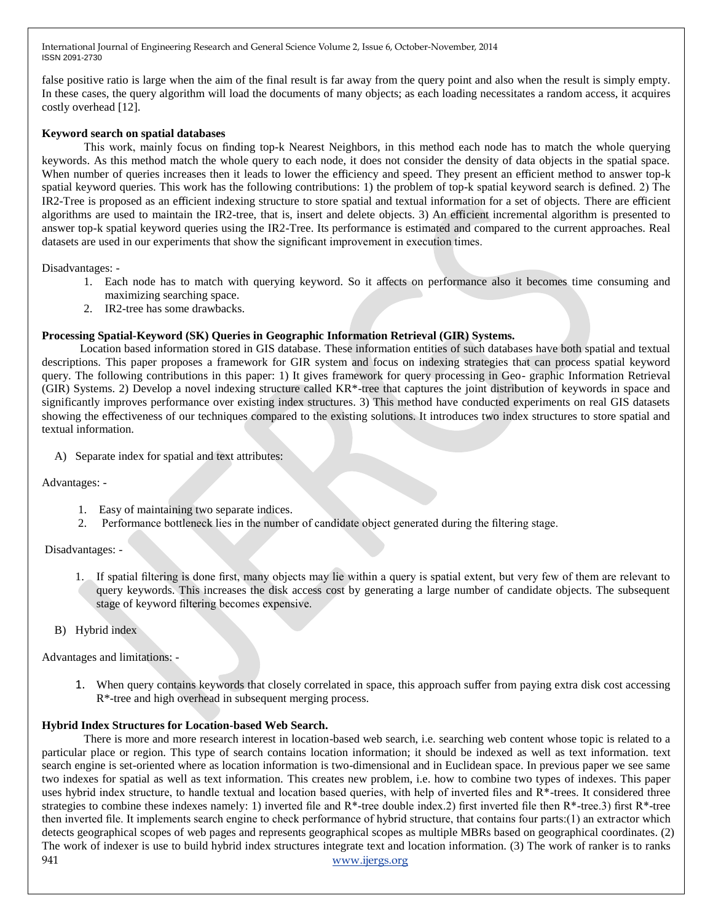International Journal of Engineering Research and General Science Volume 2, Issue 6, October-November, 2014 ISSN 2091-2730

false positive ratio is large when the aim of the final result is far away from the query point and also when the result is simply empty. In these cases, the query algorithm will load the documents of many objects; as each loading necessitates a random access, it acquires costly overhead [12].

## **Keyword search on spatial databases**

This work, mainly focus on finding top-k Nearest Neighbors, in this method each node has to match the whole querying keywords. As this method match the whole query to each node, it does not consider the density of data objects in the spatial space. When number of queries increases then it leads to lower the efficiency and speed. They present an efficient method to answer top-k spatial keyword queries. This work has the following contributions: 1) the problem of top-k spatial keyword search is defined. 2) The IR2-Tree is proposed as an efficient indexing structure to store spatial and textual information for a set of objects. There are efficient algorithms are used to maintain the IR2-tree, that is, insert and delete objects. 3) An efficient incremental algorithm is presented to answer top-k spatial keyword queries using the IR2-Tree. Its performance is estimated and compared to the current approaches. Real datasets are used in our experiments that show the significant improvement in execution times.

Disadvantages: -

- 1. Each node has to match with querying keyword. So it affects on performance also it becomes time consuming and maximizing searching space.
- 2. IR2-tree has some drawbacks.

## **Processing Spatial-Keyword (SK) Queries in Geographic Information Retrieval (GIR) Systems.**

Location based information stored in GIS database. These information entities of such databases have both spatial and textual descriptions. This paper proposes a framework for GIR system and focus on indexing strategies that can process spatial keyword query. The following contributions in this paper: 1) It gives framework for query processing in Geo- graphic Information Retrieval (GIR) Systems. 2) Develop a novel indexing structure called KR\*-tree that captures the joint distribution of keywords in space and significantly improves performance over existing index structures. 3) This method have conducted experiments on real GIS datasets showing the effectiveness of our techniques compared to the existing solutions. It introduces two index structures to store spatial and textual information.

A) Separate index for spatial and text attributes:

Advantages: -

- 1. Easy of maintaining two separate indices.
- 2. Performance bottleneck lies in the number of candidate object generated during the filtering stage.

Disadvantages: -

- 1. If spatial filtering is done first, many objects may lie within a query is spatial extent, but very few of them are relevant to query keywords. This increases the disk access cost by generating a large number of candidate objects. The subsequent stage of keyword filtering becomes expensive.
- B) Hybrid index

Advantages and limitations: -

1. When query contains keywords that closely correlated in space, this approach suffer from paying extra disk cost accessing R\*-tree and high overhead in subsequent merging process.

#### **Hybrid Index Structures for Location-based Web Search.**

941 www.ijergs.org There is more and more research interest in location-based web search, i.e. searching web content whose topic is related to a particular place or region. This type of search contains location information; it should be indexed as well as text information. text search engine is set-oriented where as location information is two-dimensional and in Euclidean space. In previous paper we see same two indexes for spatial as well as text information. This creates new problem, i.e. how to combine two types of indexes. This paper uses hybrid index structure, to handle textual and location based queries, with help of inverted files and R\*-trees. It considered three strategies to combine these indexes namely: 1) inverted file and  $R^*$ -tree double index. 2) first inverted file then  $R^*$ -tree. 3) first  $R^*$ -tree then inverted file. It implements search engine to check performance of hybrid structure, that contains four parts:(1) an extractor which detects geographical scopes of web pages and represents geographical scopes as multiple MBRs based on geographical coordinates. (2) The work of indexer is use to build hybrid index structures integrate text and location information. (3) The work of ranker is to ranks